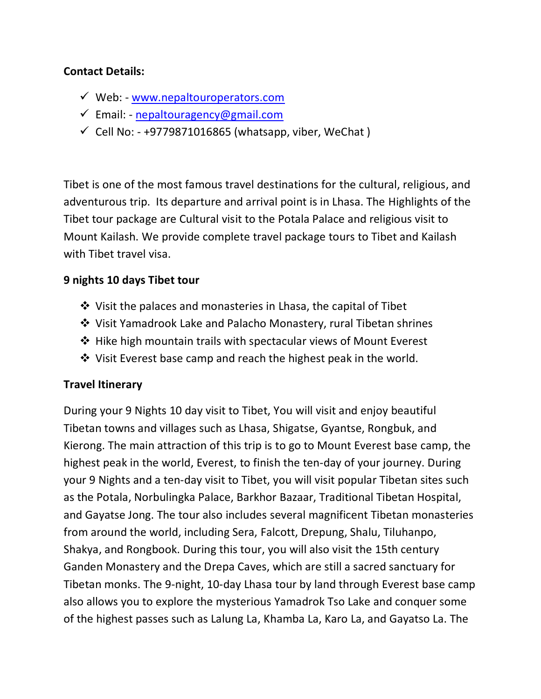#### **Contact Details:**

- $\checkmark$  Web: [www.nepaltouroperators.com](file:///C:/Users/User/Desktop/New%20Content/Nepal%20Trekking/www.nepaltouroperators.com)
- $\checkmark$  Email: [nepaltouragency@gmail.com](mailto:nepaltouragency@gmail.com)
- $\checkmark$  Cell No: +9779871016865 (whatsapp, viber, WeChat)

Tibet is one of the most famous travel destinations for the cultural, religious, and adventurous trip. Its departure and arrival point is in Lhasa. The Highlights of the Tibet tour package are Cultural visit to the Potala Palace and religious visit to Mount Kailash. We provide complete travel package tours to Tibet and Kailash with Tibet travel visa.

#### **9 nights 10 days Tibet tour**

- Visit the palaces and monasteries in Lhasa, the capital of Tibet
- Visit Yamadrook Lake and Palacho Monastery, rural Tibetan shrines
- $\triangle$  Hike high mountain trails with spectacular views of Mount Everest
- $\cdot$  Visit Everest base camp and reach the highest peak in the world.

#### **Travel Itinerary**

During your 9 Nights 10 day visit to Tibet, You will visit and enjoy beautiful Tibetan towns and villages such as Lhasa, Shigatse, Gyantse, Rongbuk, and Kierong. The main attraction of this trip is to go to Mount Everest base camp, the highest peak in the world, Everest, to finish the ten-day of your journey. During your 9 Nights and a ten-day visit to Tibet, you will visit popular Tibetan sites such as the Potala, Norbulingka Palace, Barkhor Bazaar, Traditional Tibetan Hospital, and Gayatse Jong. The tour also includes several magnificent Tibetan monasteries from around the world, including Sera, Falcott, Drepung, Shalu, Tiluhanpo, Shakya, and Rongbook. During this tour, you will also visit the 15th century Ganden Monastery and the Drepa Caves, which are still a sacred sanctuary for Tibetan monks. The 9-night, 10-day Lhasa tour by land through Everest base camp also allows you to explore the mysterious Yamadrok Tso Lake and conquer some of the highest passes such as Lalung La, Khamba La, Karo La, and Gayatso La. The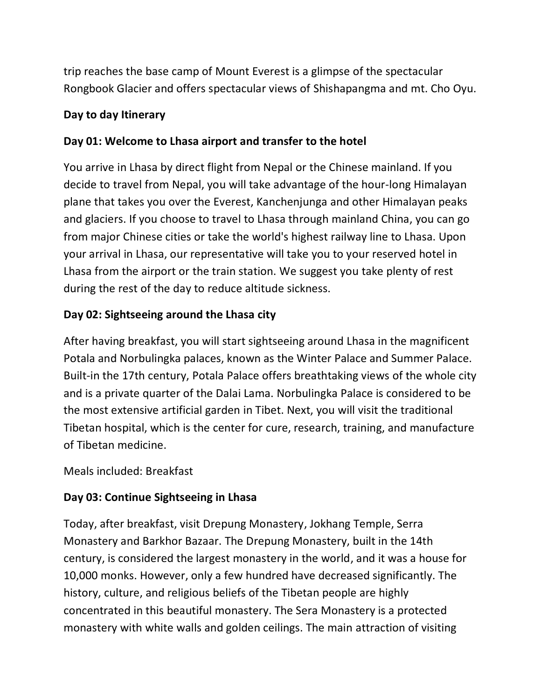trip reaches the base camp of Mount Everest is a glimpse of the spectacular Rongbook Glacier and offers spectacular views of Shishapangma and mt. Cho Oyu.

### **Day to day Itinerary**

# **Day 01: Welcome to Lhasa airport and transfer to the hotel**

You arrive in Lhasa by direct flight from Nepal or the Chinese mainland. If you decide to travel from Nepal, you will take advantage of the hour-long Himalayan plane that takes you over the Everest, Kanchenjunga and other Himalayan peaks and glaciers. If you choose to travel to Lhasa through mainland China, you can go from major Chinese cities or take the world's highest railway line to Lhasa. Upon your arrival in Lhasa, our representative will take you to your reserved hotel in Lhasa from the airport or the train station. We suggest you take plenty of rest during the rest of the day to reduce altitude sickness.

# **Day 02: Sightseeing around the Lhasa city**

After having breakfast, you will start sightseeing around Lhasa in the magnificent Potala and Norbulingka palaces, known as the Winter Palace and Summer Palace. Built-in the 17th century, Potala Palace offers breathtaking views of the whole city and is a private quarter of the Dalai Lama. Norbulingka Palace is considered to be the most extensive artificial garden in Tibet. Next, you will visit the traditional Tibetan hospital, which is the center for cure, research, training, and manufacture of Tibetan medicine.

Meals included: Breakfast

# **Day 03: Continue Sightseeing in Lhasa**

Today, after breakfast, visit Drepung Monastery, Jokhang Temple, Serra Monastery and Barkhor Bazaar. The Drepung Monastery, built in the 14th century, is considered the largest monastery in the world, and it was a house for 10,000 monks. However, only a few hundred have decreased significantly. The history, culture, and religious beliefs of the Tibetan people are highly concentrated in this beautiful monastery. The Sera Monastery is a protected monastery with white walls and golden ceilings. The main attraction of visiting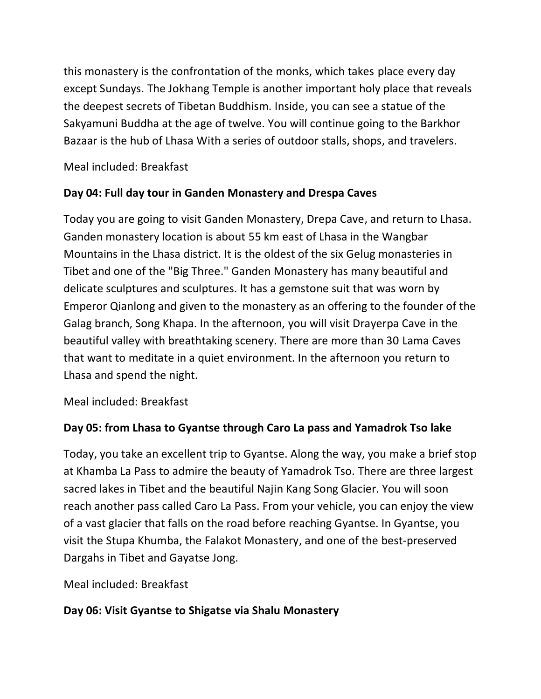this monastery is the confrontation of the monks, which takes place every day except Sundays. The Jokhang Temple is another important holy place that reveals the deepest secrets of Tibetan Buddhism. Inside, you can see a statue of the Sakyamuni Buddha at the age of twelve. You will continue going to the Barkhor Bazaar is the hub of Lhasa With a series of outdoor stalls, shops, and travelers.

Meal included: Breakfast

# **Day 04: Full day tour in Ganden Monastery and Drespa Caves**

Today you are going to visit Ganden Monastery, Drepa Cave, and return to Lhasa. Ganden monastery location is about 55 km east of Lhasa in the Wangbar Mountains in the Lhasa district. It is the oldest of the six Gelug monasteries in Tibet and one of the "Big Three." Ganden Monastery has many beautiful and delicate sculptures and sculptures. It has a gemstone suit that was worn by Emperor Qianlong and given to the monastery as an offering to the founder of the Galag branch, Song Khapa. In the afternoon, you will visit Drayerpa Cave in the beautiful valley with breathtaking scenery. There are more than 30 Lama Caves that want to meditate in a quiet environment. In the afternoon you return to Lhasa and spend the night.

Meal included: Breakfast

# **Day 05: from Lhasa to Gyantse through Caro La pass and Yamadrok Tso lake**

Today, you take an excellent trip to Gyantse. Along the way, you make a brief stop at Khamba La Pass to admire the beauty of Yamadrok Tso. There are three largest sacred lakes in Tibet and the beautiful Najin Kang Song Glacier. You will soon reach another pass called Caro La Pass. From your vehicle, you can enjoy the view of a vast glacier that falls on the road before reaching Gyantse. In Gyantse, you visit the Stupa Khumba, the Falakot Monastery, and one of the best-preserved Dargahs in Tibet and Gayatse Jong.

Meal included: Breakfast

# **Day 06: Visit Gyantse to Shigatse via Shalu Monastery**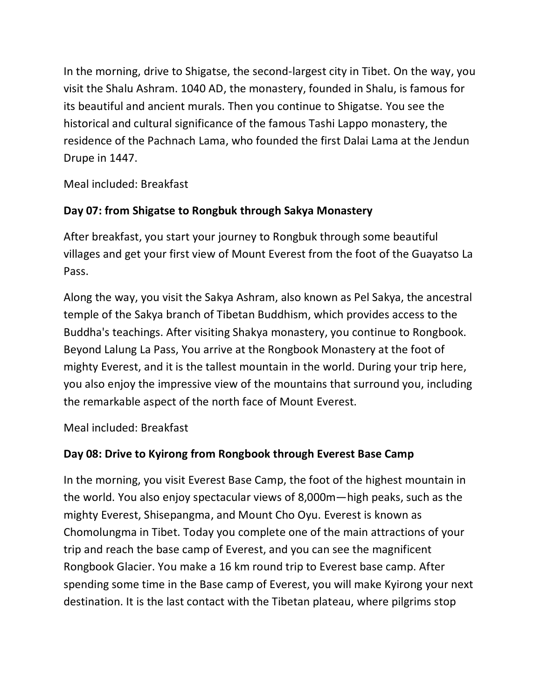In the morning, drive to Shigatse, the second-largest city in Tibet. On the way, you visit the Shalu Ashram. 1040 AD, the monastery, founded in Shalu, is famous for its beautiful and ancient murals. Then you continue to Shigatse. You see the historical and cultural significance of the famous Tashi Lappo monastery, the residence of the Pachnach Lama, who founded the first Dalai Lama at the Jendun Drupe in 1447.

Meal included: Breakfast

### **Day 07: from Shigatse to Rongbuk through Sakya Monastery**

After breakfast, you start your journey to Rongbuk through some beautiful villages and get your first view of Mount Everest from the foot of the Guayatso La Pass.

Along the way, you visit the Sakya Ashram, also known as Pel Sakya, the ancestral temple of the Sakya branch of Tibetan Buddhism, which provides access to the Buddha's teachings. After visiting Shakya monastery, you continue to Rongbook. Beyond Lalung La Pass, You arrive at the Rongbook Monastery at the foot of mighty Everest, and it is the tallest mountain in the world. During your trip here, you also enjoy the impressive view of the mountains that surround you, including the remarkable aspect of the north face of Mount Everest.

Meal included: Breakfast

# **Day 08: Drive to Kyirong from Rongbook through Everest Base Camp**

In the morning, you visit Everest Base Camp, the foot of the highest mountain in the world. You also enjoy spectacular views of 8,000m—high peaks, such as the mighty Everest, Shisepangma, and Mount Cho Oyu. Everest is known as Chomolungma in Tibet. Today you complete one of the main attractions of your trip and reach the base camp of Everest, and you can see the magnificent Rongbook Glacier. You make a 16 km round trip to Everest base camp. After spending some time in the Base camp of Everest, you will make Kyirong your next destination. It is the last contact with the Tibetan plateau, where pilgrims stop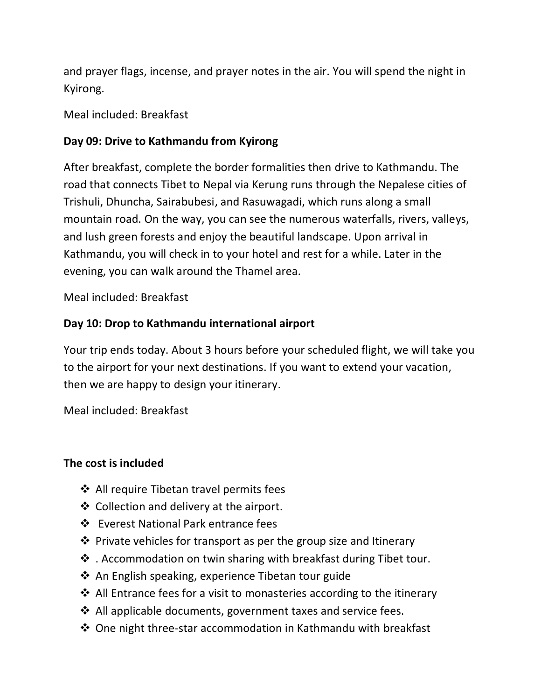and prayer flags, incense, and prayer notes in the air. You will spend the night in Kyirong.

Meal included: Breakfast

### **Day 09: Drive to Kathmandu from Kyirong**

After breakfast, complete the border formalities then drive to Kathmandu. The road that connects Tibet to Nepal via Kerung runs through the Nepalese cities of Trishuli, Dhuncha, Sairabubesi, and Rasuwagadi, which runs along a small mountain road. On the way, you can see the numerous waterfalls, rivers, valleys, and lush green forests and enjoy the beautiful landscape. Upon arrival in Kathmandu, you will check in to your hotel and rest for a while. Later in the evening, you can walk around the Thamel area.

Meal included: Breakfast

### **Day 10: Drop to Kathmandu international airport**

Your trip ends today. About 3 hours before your scheduled flight, we will take you to the airport for your next destinations. If you want to extend your vacation, then we are happy to design your itinerary.

Meal included: Breakfast

### **The cost is included**

- ❖ All require Tibetan travel permits fees
- ❖ Collection and delivery at the airport.
- Everest National Park entrance fees
- $\cdot$  Private vehicles for transport as per the group size and Itinerary
- . Accommodation on twin sharing with breakfast during Tibet tour.
- $\clubsuit$  An English speaking, experience Tibetan tour guide
- ❖ All Entrance fees for a visit to monasteries according to the itinerary
- ❖ All applicable documents, government taxes and service fees.
- One night three-star accommodation in Kathmandu with breakfast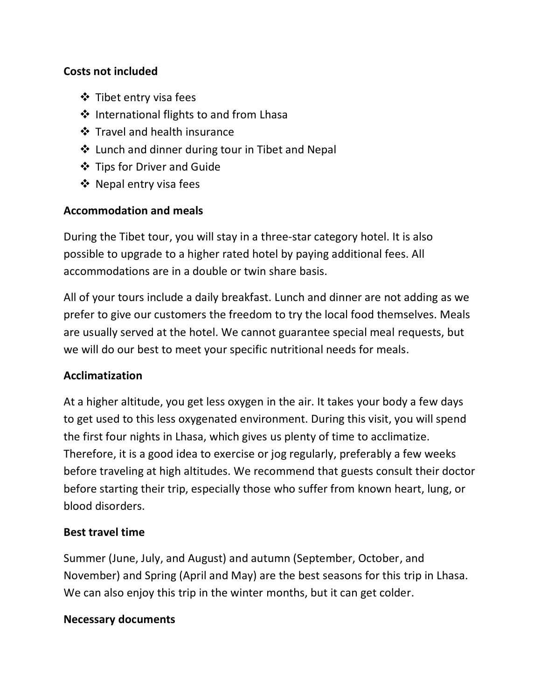#### **Costs not included**

- ❖ Tibet entry visa fees
- ❖ International flights to and from Lhasa
- Travel and health insurance
- ❖ Lunch and dinner during tour in Tibet and Nepal
- ❖ Tips for Driver and Guide
- ❖ Nepal entry visa fees

#### **Accommodation and meals**

During the Tibet tour, you will stay in a three-star category hotel. It is also possible to upgrade to a higher rated hotel by paying additional fees. All accommodations are in a double or twin share basis.

All of your tours include a daily breakfast. Lunch and dinner are not adding as we prefer to give our customers the freedom to try the local food themselves. Meals are usually served at the hotel. We cannot guarantee special meal requests, but we will do our best to meet your specific nutritional needs for meals.

### **Acclimatization**

At a higher altitude, you get less oxygen in the air. It takes your body a few days to get used to this less oxygenated environment. During this visit, you will spend the first four nights in Lhasa, which gives us plenty of time to acclimatize. Therefore, it is a good idea to exercise or jog regularly, preferably a few weeks before traveling at high altitudes. We recommend that guests consult their doctor before starting their trip, especially those who suffer from known heart, lung, or blood disorders.

#### **Best travel time**

Summer (June, July, and August) and autumn (September, October, and November) and Spring (April and May) are the best seasons for this trip in Lhasa. We can also enjoy this trip in the winter months, but it can get colder.

#### **Necessary documents**